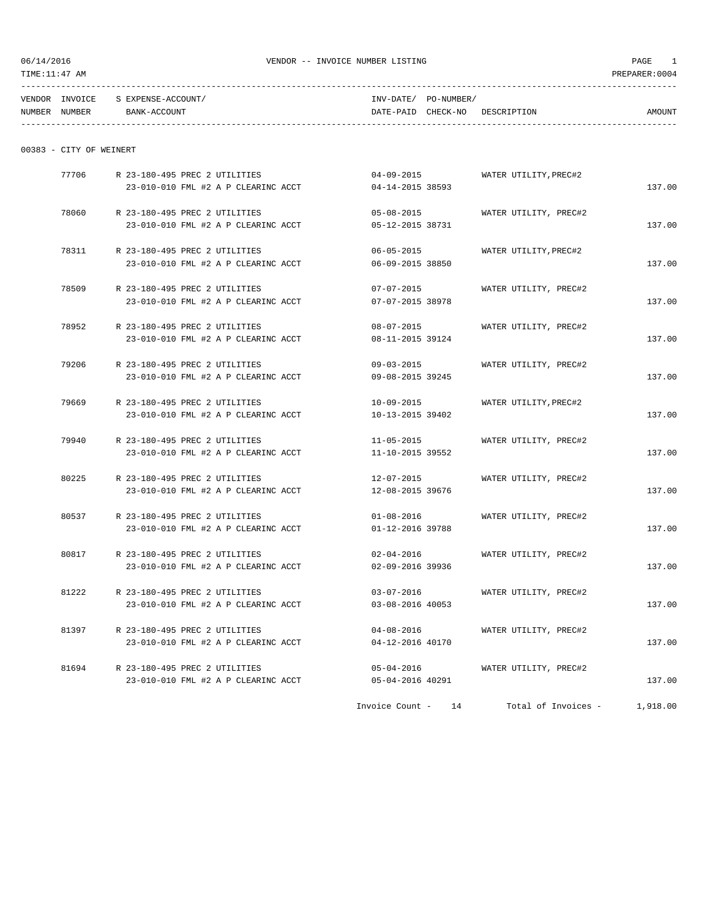TIME:11:47 AM PREPARER:0004

| TENDOR          | NTZO1  | TNF              | T T T<br>mm<br>ᅩᅶ        |                      |  |
|-----------------|--------|------------------|--------------------------|----------------------|--|
| <b>MITRADED</b> | MINDED | <b>13 A A TL</b> | DATT<br>. <del>. .</del> | <b>ATC</b><br>ATIEMI |  |

| NUMBEI | NUMBER | ACCOUNT<br>BANK-A. | $- - -$<br>DATE-PAI<br>----- | CHECK-NO | RIPTION<br><b>DESCR</b> | AMOUNT  |
|--------|--------|--------------------|------------------------------|----------|-------------------------|---------|
|        |        |                    |                              |          |                         | ------- |

| 00383 |  |  | CITY OF WEINERT |
|-------|--|--|-----------------|
|-------|--|--|-----------------|

| 77706 | R 23-180-495 PREC 2 UTILITIES       | $04 - 09 - 2015$   | WATER UTILITY, PREC#2 |          |
|-------|-------------------------------------|--------------------|-----------------------|----------|
|       | 23-010-010 FML #2 A P CLEARINC ACCT | 04-14-2015 38593   |                       | 137.00   |
| 78060 | R 23-180-495 PREC 2 UTILITIES       | $05 - 08 - 2015$   | WATER UTILITY, PREC#2 |          |
|       | 23-010-010 FML #2 A P CLEARINC ACCT | 05-12-2015 38731   |                       | 137.00   |
| 78311 | R 23-180-495 PREC 2 UTILITIES       | $06 - 05 - 2015$   | WATER UTILITY, PREC#2 |          |
|       | 23-010-010 FML #2 A P CLEARINC ACCT | 06-09-2015 38850   |                       | 137.00   |
| 78509 | R 23-180-495 PREC 2 UTILITIES       | $07 - 07 - 2015$   | WATER UTILITY, PREC#2 |          |
|       | 23-010-010 FML #2 A P CLEARINC ACCT | 07-07-2015 38978   |                       | 137.00   |
| 78952 | R 23-180-495 PREC 2 UTILITIES       | 08-07-2015         | WATER UTILITY, PREC#2 |          |
|       | 23-010-010 FML #2 A P CLEARINC ACCT | 08-11-2015 39124   |                       | 137.00   |
| 79206 | R 23-180-495 PREC 2 UTILITIES       | $09 - 03 - 2015$   | WATER UTILITY, PREC#2 |          |
|       | 23-010-010 FML #2 A P CLEARINC ACCT | 09-08-2015 39245   |                       | 137.00   |
| 79669 | R 23-180-495 PREC 2 UTILITIES       | 10-09-2015         | WATER UTILITY, PREC#2 |          |
|       | 23-010-010 FML #2 A P CLEARINC ACCT | 10-13-2015 39402   |                       | 137.00   |
| 79940 | R 23-180-495 PREC 2 UTILITIES       | $11 - 05 - 2015$   | WATER UTILITY, PREC#2 |          |
|       | 23-010-010 FML #2 A P CLEARINC ACCT | 11-10-2015 39552   |                       | 137.00   |
| 80225 | R 23-180-495 PREC 2 UTILITIES       | 12-07-2015         | WATER UTILITY, PREC#2 |          |
|       | 23-010-010 FML #2 A P CLEARINC ACCT | 12-08-2015 39676   |                       | 137.00   |
| 80537 | R 23-180-495 PREC 2 UTILITIES       | $01 - 08 - 2016$   | WATER UTILITY, PREC#2 |          |
|       | 23-010-010 FML #2 A P CLEARINC ACCT | 01-12-2016 39788   |                       | 137.00   |
| 80817 | R 23-180-495 PREC 2 UTILITIES       | $02 - 04 - 2016$   | WATER UTILITY, PREC#2 |          |
|       | 23-010-010 FML #2 A P CLEARINC ACCT | 02-09-2016 39936   |                       | 137.00   |
| 81222 | R 23-180-495 PREC 2 UTILITIES       | $03 - 07 - 2016$   | WATER UTILITY, PREC#2 |          |
|       | 23-010-010 FML #2 A P CLEARINC ACCT | 03-08-2016 40053   |                       | 137.00   |
| 81397 | R 23-180-495 PREC 2 UTILITIES       | $04 - 08 - 2016$   | WATER UTILITY, PREC#2 |          |
|       | 23-010-010 FML #2 A P CLEARINC ACCT | 04-12-2016 40170   |                       | 137.00   |
| 81694 | R 23-180-495 PREC 2 UTILITIES       | $05 - 04 - 2016$   | WATER UTILITY, PREC#2 |          |
|       | 23-010-010 FML #2 A P CLEARINC ACCT | 05-04-2016 40291   |                       | 137.00   |
|       |                                     | Invoice Count - 14 | Total of Invoices -   | 1,918.00 |